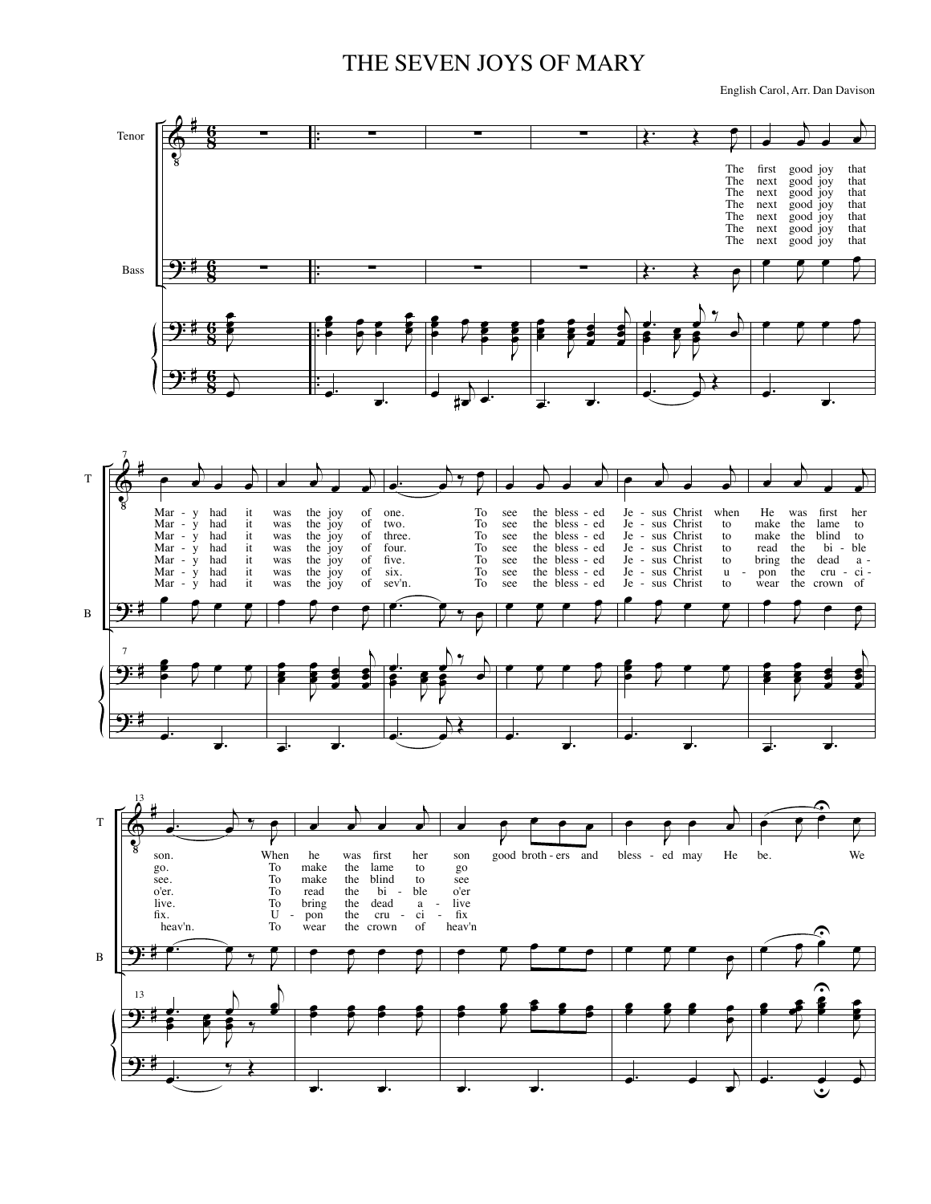## THE SEVEN JOYS OF MARY

English Carol, Arr. Dan Davison